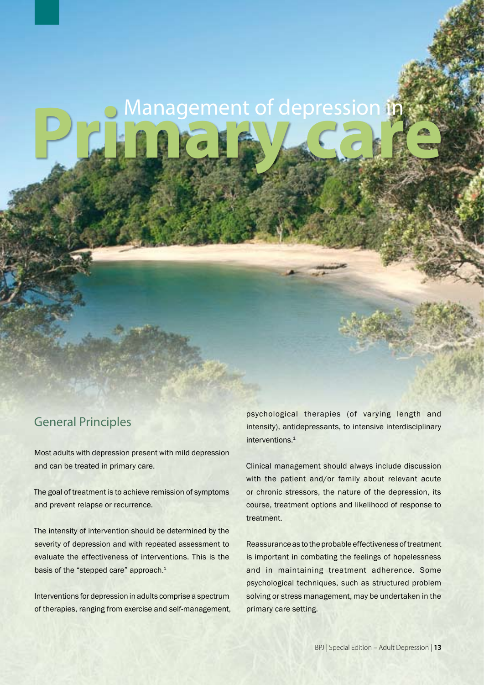# **Management of depression in**

# General Principles

Most adults with depression present with mild depression and can be treated in primary care.

The goal of treatment is to achieve remission of symptoms and prevent relapse or recurrence.

The intensity of intervention should be determined by the severity of depression and with repeated assessment to evaluate the effectiveness of interventions. This is the basis of the "stepped care" approach.<sup>1</sup>

Interventions for depression in adults comprise a spectrum of therapies, ranging from exercise and self-management, psychological therapies (of varying length and intensity), antidepressants, to intensive interdisciplinary interventions.<sup>1</sup>

Clinical management should always include discussion with the patient and/or family about relevant acute or chronic stressors, the nature of the depression, its course, treatment options and likelihood of response to treatment.

Reassurance as to the probable effectiveness of treatment is important in combating the feelings of hopelessness and in maintaining treatment adherence. Some psychological techniques, such as structured problem solving or stress management, may be undertaken in the primary care setting.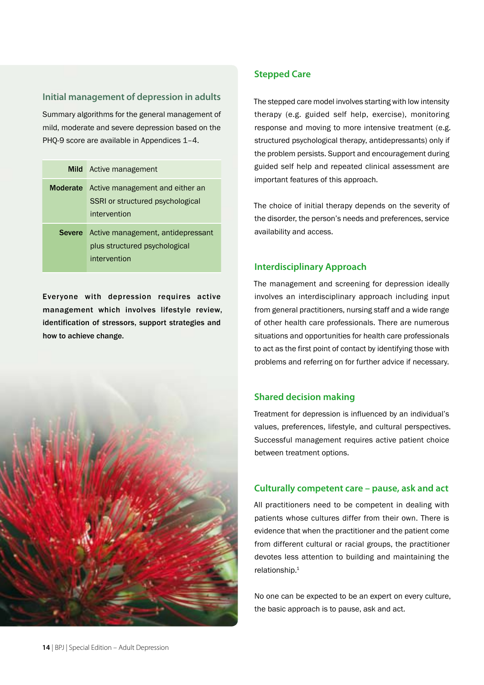## **Initial management of depression in adults**

Summary algorithms for the general management of mild, moderate and severe depression based on the PHQ-9 score are available in Appendices 1–4.

|               | <b>Mild</b> Active management                                                                       |
|---------------|-----------------------------------------------------------------------------------------------------|
|               | <b>Moderate</b> Active management and either an<br>SSRI or structured psychological<br>intervention |
| <b>Severe</b> | Active management, antidepressant<br>plus structured psychological<br>intervention                  |

Everyone with depression requires active management which involves lifestyle review, identification of stressors, support strategies and how to achieve change.



## **Stepped Care**

The stepped care model involves starting with low intensity therapy (e.g. guided self help, exercise), monitoring response and moving to more intensive treatment (e.g. structured psychological therapy, antidepressants) only if the problem persists. Support and encouragement during guided self help and repeated clinical assessment are important features of this approach.

The choice of initial therapy depends on the severity of the disorder, the person's needs and preferences, service availability and access.

# **Interdisciplinary Approach**

The management and screening for depression ideally involves an interdisciplinary approach including input from general practitioners, nursing staff and a wide range of other health care professionals. There are numerous situations and opportunities for health care professionals to act as the first point of contact by identifying those with problems and referring on for further advice if necessary.

## **Shared decision making**

Treatment for depression is influenced by an individual's values, preferences, lifestyle, and cultural perspectives. Successful management requires active patient choice between treatment options.

## **Culturally competent care – pause, ask and act**

All practitioners need to be competent in dealing with patients whose cultures differ from their own. There is evidence that when the practitioner and the patient come from different cultural or racial groups, the practitioner devotes less attention to building and maintaining the relationship.1

No one can be expected to be an expert on every culture, the basic approach is to pause, ask and act.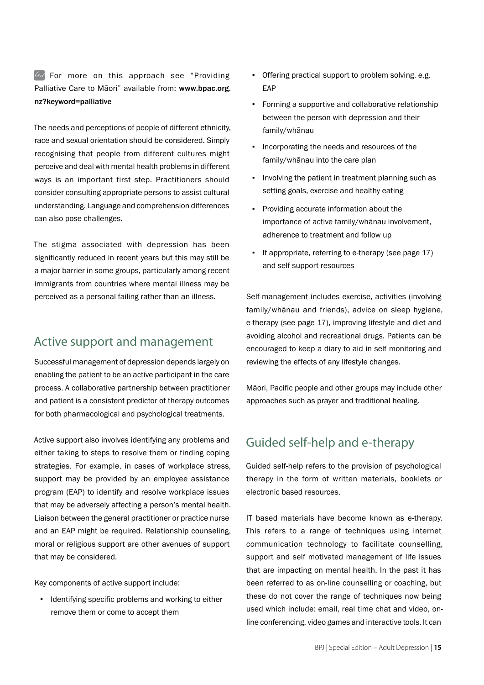$\odot$  For more on this approach see "Providing Palliative Care to Māori" available from: www.bpac.org. nz?keyword=palliative

The needs and perceptions of people of different ethnicity, race and sexual orientation should be considered. Simply recognising that people from different cultures might perceive and deal with mental health problems in different ways is an important first step. Practitioners should consider consulting appropriate persons to assist cultural understanding. Language and comprehension differences can also pose challenges.

The stigma associated with depression has been significantly reduced in recent years but this may still be a major barrier in some groups, particularly among recent immigrants from countries where mental illness may be perceived as a personal failing rather than an illness.

# Active support and management

Successful management of depression depends largely on enabling the patient to be an active participant in the care process. A collaborative partnership between practitioner and patient is a consistent predictor of therapy outcomes for both pharmacological and psychological treatments.

Active support also involves identifying any problems and either taking to steps to resolve them or finding coping strategies. For example, in cases of workplace stress, support may be provided by an employee assistance program (EAP) to identify and resolve workplace issues that may be adversely affecting a person's mental health. Liaison between the general practitioner or practice nurse and an EAP might be required. Relationship counseling, moral or religious support are other avenues of support that may be considered.

Key components of active support include:

▪ Identifying specific problems and working to either remove them or come to accept them

- Offering practical support to problem solving, e.g. EAP
- Forming a supportive and collaborative relationship between the person with depression and their family/whānau
- Incorporating the needs and resources of the family/whānau into the care plan
- Involving the patient in treatment planning such as setting goals, exercise and healthy eating
- Providing accurate information about the importance of active family/whānau involvement, adherence to treatment and follow up
- If appropriate, referring to e-therapy (see page 17) and self support resources

Self-management includes exercise, activities (involving family/whānau and friends), advice on sleep hygiene, e-therapy (see page 17), improving lifestyle and diet and avoiding alcohol and recreational drugs. Patients can be encouraged to keep a diary to aid in self monitoring and reviewing the effects of any lifestyle changes.

Māori, Pacific people and other groups may include other approaches such as prayer and traditional healing.

# Guided self-help and e-therapy

Guided self-help refers to the provision of psychological therapy in the form of written materials, booklets or electronic based resources.

IT based materials have become known as e-therapy. This refers to a range of techniques using internet communication technology to facilitate counselling, support and self motivated management of life issues that are impacting on mental health. In the past it has been referred to as on-line counselling or coaching, but these do not cover the range of techniques now being used which include: email, real time chat and video, online conferencing, video games and interactive tools. It can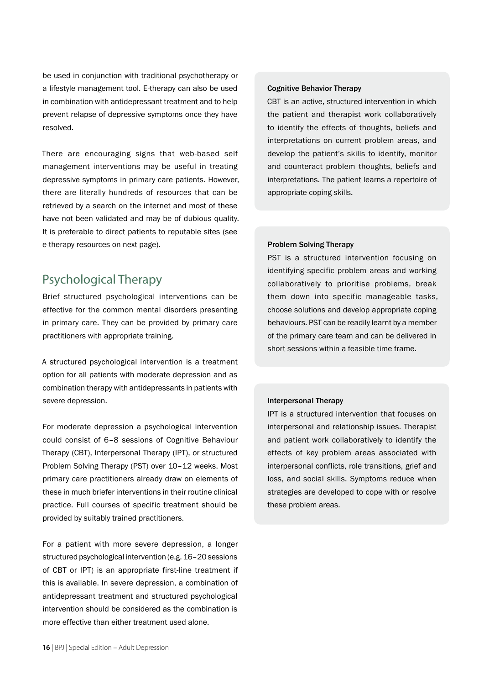be used in conjunction with traditional psychotherapy or a lifestyle management tool. E-therapy can also be used in combination with antidepressant treatment and to help prevent relapse of depressive symptoms once they have resolved.

There are encouraging signs that web-based self management interventions may be useful in treating depressive symptoms in primary care patients. However, there are literally hundreds of resources that can be retrieved by a search on the internet and most of these have not been validated and may be of dubious quality. It is preferable to direct patients to reputable sites (see e-therapy resources on next page).

# Psychological Therapy

Brief structured psychological interventions can be effective for the common mental disorders presenting in primary care. They can be provided by primary care practitioners with appropriate training.

A structured psychological intervention is a treatment option for all patients with moderate depression and as combination therapy with antidepressants in patients with severe depression.

For moderate depression a psychological intervention could consist of 6–8 sessions of Cognitive Behaviour Therapy (CBT), Interpersonal Therapy (IPT), or structured Problem Solving Therapy (PST) over 10–12 weeks. Most primary care practitioners already draw on elements of these in much briefer interventions in their routine clinical practice. Full courses of specific treatment should be provided by suitably trained practitioners.

For a patient with more severe depression, a longer structured psychological intervention (e.g. 16–20 sessions of CBT or IPT) is an appropriate first-line treatment if this is available. In severe depression, a combination of antidepressant treatment and structured psychological intervention should be considered as the combination is more effective than either treatment used alone.

#### Cognitive Behavior Therapy

CBT is an active, structured intervention in which the patient and therapist work collaboratively to identify the effects of thoughts, beliefs and interpretations on current problem areas, and develop the patient's skills to identify, monitor and counteract problem thoughts, beliefs and interpretations. The patient learns a repertoire of appropriate coping skills.

#### Problem Solving Therapy

PST is a structured intervention focusing on identifying specific problem areas and working collaboratively to prioritise problems, break them down into specific manageable tasks, choose solutions and develop appropriate coping behaviours. PST can be readily learnt by a member of the primary care team and can be delivered in short sessions within a feasible time frame.

#### Interpersonal Therapy

IPT is a structured intervention that focuses on interpersonal and relationship issues. Therapist and patient work collaboratively to identify the effects of key problem areas associated with interpersonal conflicts, role transitions, grief and loss, and social skills. Symptoms reduce when strategies are developed to cope with or resolve these problem areas.